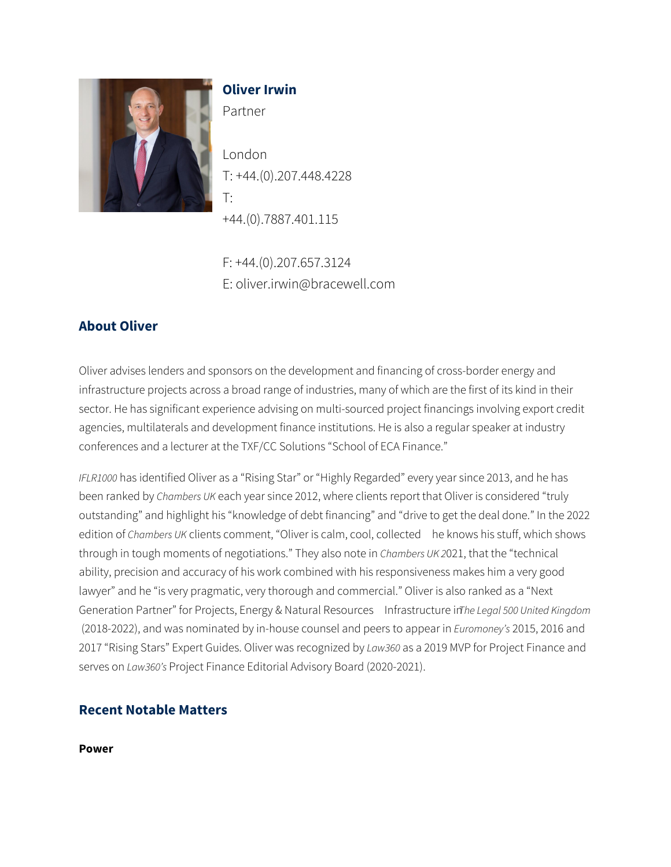

## **Oliver Irwin**

Partner

London T: +44.(0).207.448.4228 T: +44.(0).7887.401.115

F: +44.(0).207.657.3124 E: oliver.irwin@bracewell.com

# **About Oliver**

Oliver advises lenders and sponsors on the development and financing of cross-border energy and infrastructure projects across a broad range of industries, many of which are the first of its kind in their sector. He has significant experience advising on multi-sourced project financings involving export credit agencies, multilaterals and development finance institutions. He is also a regular speaker at industry conferences and a lecturer at the TXF/CC Solutions "School of ECA Finance."

*IFLR1000* has identified Oliver as a "Rising Star" or "Highly Regarded" every year since 2013, and he has been ranked by *Chambers UK* each year since 2012, where clients report that Oliver is considered "truly outstanding" and highlight his "knowledge of debt financing" and "drive to get the deal done." In the 2022 edition of *Chambers UK* clients comment, "Oliver is calm, cool, collected he knows his stuff, which shows through in tough moments of negotiations." They also note in *Chambers UK 2*021, that the "technical ability, precision and accuracy of his work combined with his responsiveness makes him a very good lawyer" and he "is very pragmatic, very thorough and commercial." Oliver is also ranked as a "Next Generation Partner" for Projects, Energy & Natural Resources Infrastructure in *The Legal 500 United Kingdom*  (2018-2022), and was nominated by in-house counsel and peers to appear in *Euromoney's* 2015, 2016 and 2017 "Rising Stars" Expert Guides. Oliver was recognized by *Law360* as a 2019 MVP for Project Finance and serves on *Law360's* Project Finance Editorial Advisory Board (2020-2021).

## **Recent Notable Matters**

**Power**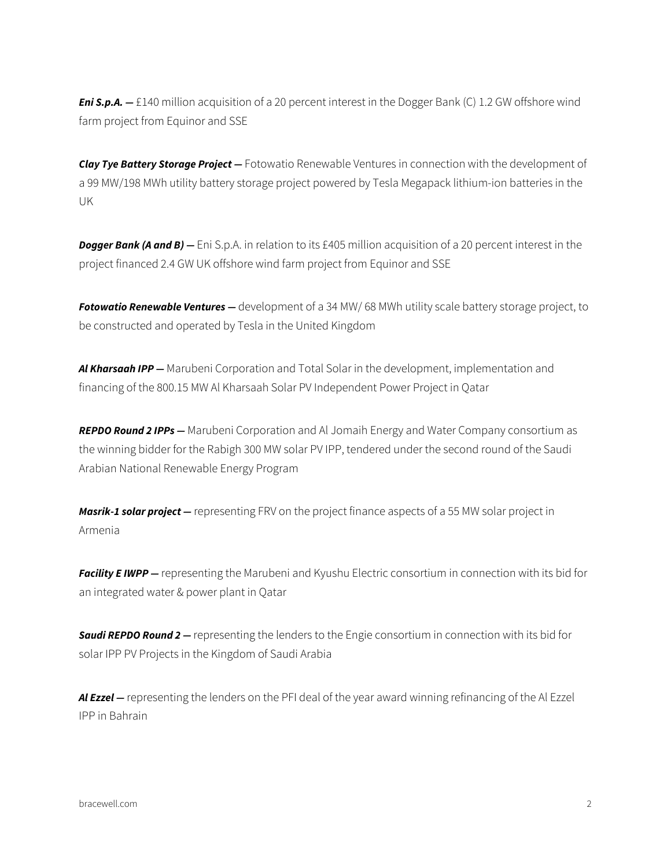**Eni S.p.A.** – £140 million acquisition of a 20 percent interest in the Dogger Bank (C) 1.2 GW offshore wind farm project from Equinor and SSE

*Clay Tye Battery Storage Project —* Fotowatio Renewable Ventures in connection with the development of a 99 MW/198 MWh utility battery storage project powered by Tesla Megapack lithium-ion batteries in the UK

*Dogger Bank (A and B) —* Eni S.p.A. in relation to its £405 million acquisition of a 20 percent interest in the project financed 2.4 GW UK offshore wind farm project from Equinor and SSE

*Fotowatio Renewable Ventures —* development of a 34 MW/ 68 MWh utility scale battery storage project, to be constructed and operated by Tesla in the United Kingdom

*Al Kharsaah IPP —* Marubeni Corporation and Total Solar in the development, implementation and financing of the 800.15 MW Al Kharsaah Solar PV Independent Power Project in Qatar

*REPDO Round 2 IPPs —* Marubeni Corporation and Al Jomaih Energy and Water Company consortium as the winning bidder for the Rabigh 300 MW solar PV IPP, tendered under the second round of the Saudi Arabian National Renewable Energy Program

*Masrik-1 solar project —* representing FRV on the project finance aspects of a 55 MW solar project in Armenia

**Facility E IWPP** – representing the Marubeni and Kyushu Electric consortium in connection with its bid for an integrated water & power plant in Qatar

*Saudi REPDO Round 2 —* representing the lenders to the Engie consortium in connection with its bid for solar IPP PV Projects in the Kingdom of Saudi Arabia

*Al Ezzel —* representing the lenders on the PFI deal of the year award winning refinancing of the Al Ezzel IPP in Bahrain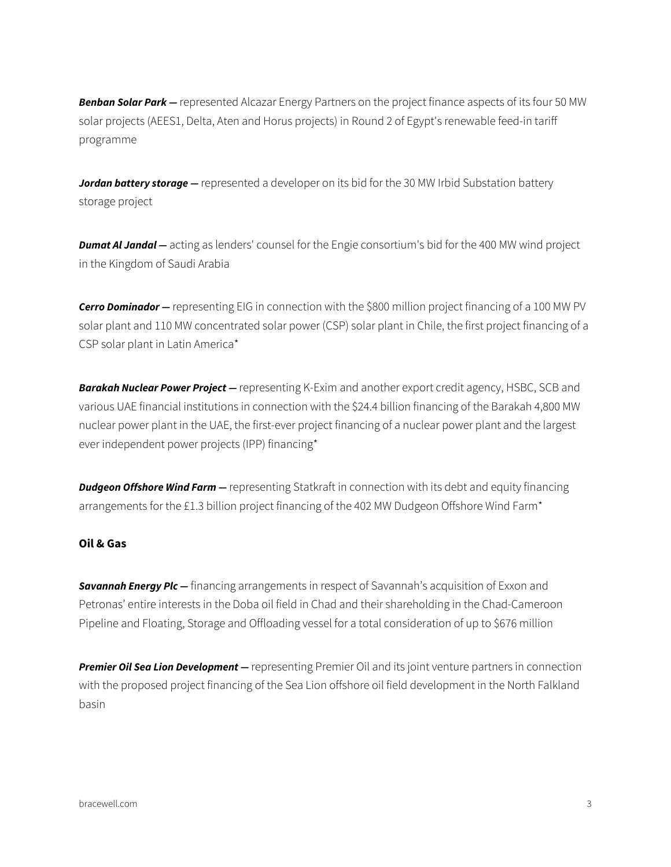*Benban Solar Park —* represented Alcazar Energy Partners on the project finance aspects of its four 50 MW solar projects (AEES1, Delta, Aten and Horus projects) in Round 2 of Egypt's renewable feed-in tariff programme

*Jordan battery storage —* represented a developer on its bid for the 30 MW Irbid Substation battery storage project

*Dumat Al Jandal —* acting as lenders' counsel for the Engie consortium's bid for the 400 MW wind project in the Kingdom of Saudi Arabia

*Cerro Dominador —* representing EIG in connection with the \$800 million project financing of a 100 MW PV solar plant and 110 MW concentrated solar power (CSP) solar plant in Chile, the first project financing of a CSP solar plant in Latin America\*

*Barakah Nuclear Power Project —* representing K-Exim and another export credit agency, HSBC, SCB and various UAE financial institutions in connection with the \$24.4 billion financing of the Barakah 4,800 MW nuclear power plant in the UAE, the first-ever project financing of a nuclear power plant and the largest ever independent power projects (IPP) financing\*

**Dudgeon Offshore Wind Farm** – representing Statkraft in connection with its debt and equity financing arrangements for the £1.3 billion project financing of the 402 MW Dudgeon Offshore Wind Farm\*

### **Oil & Gas**

**Savannah Energy Plc —** financing arrangements in respect of Savannah's acquisition of Exxon and Petronas' entire interests in the Doba oil field in Chad and their shareholding in the Chad-Cameroon Pipeline and Floating, Storage and Offloading vessel for a total consideration of up to \$676 million

*Premier Oil Sea Lion Development —* representing Premier Oil and its joint venture partners in connection with the proposed project financing of the Sea Lion offshore oil field development in the North Falkland basin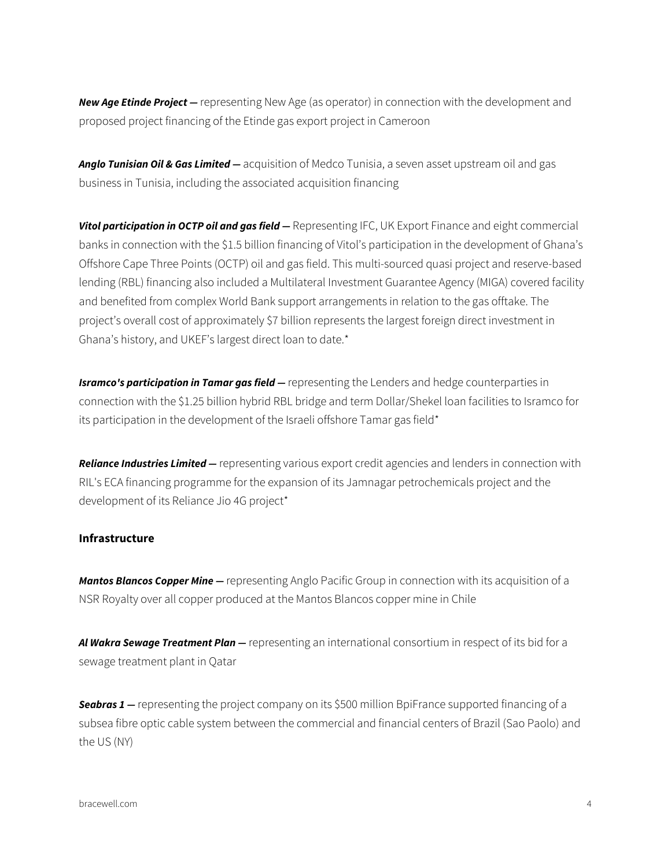*New Age Etinde Project —* representing New Age (as operator) in connection with the development and proposed project financing of the Etinde gas export project in Cameroon

*Anglo Tunisian Oil & Gas Limited —* acquisition of Medco Tunisia, a seven asset upstream oil and gas business in Tunisia, including the associated acquisition financing

*Vitol participation in OCTP oil and gas field —* Representing IFC, UK Export Finance and eight commercial banks in connection with the \$1.5 billion financing of Vitol's participation in the development of Ghana's Offshore Cape Three Points (OCTP) oil and gas field. This multi-sourced quasi project and reserve-based lending (RBL) financing also included a Multilateral Investment Guarantee Agency (MIGA) covered facility and benefited from complex World Bank support arrangements in relation to the gas offtake. The project's overall cost of approximately \$7 billion represents the largest foreign direct investment in Ghana's history, and UKEF's largest direct loan to date.\*

*Isramco's participation in Tamar gas field —* representing the Lenders and hedge counterparties in connection with the \$1.25 billion hybrid RBL bridge and term Dollar/Shekel loan facilities to Isramco for its participation in the development of the Israeli offshore Tamar gas field\*

*Reliance Industries Limited —* representing various export credit agencies and lenders in connection with RIL's ECA financing programme for the expansion of its Jamnagar petrochemicals project and the development of its Reliance Jio 4G project\*

#### **Infrastructure**

*Mantos Blancos Copper Mine —* representing Anglo Pacific Group in connection with its acquisition of a NSR Royalty over all copper produced at the Mantos Blancos copper mine in Chile

*Al Wakra Sewage Treatment Plan —* representing an international consortium in respect of its bid for a sewage treatment plant in Qatar

**Seabras 1** – representing the project company on its \$500 million BpiFrance supported financing of a subsea fibre optic cable system between the commercial and financial centers of Brazil (Sao Paolo) and the US (NY)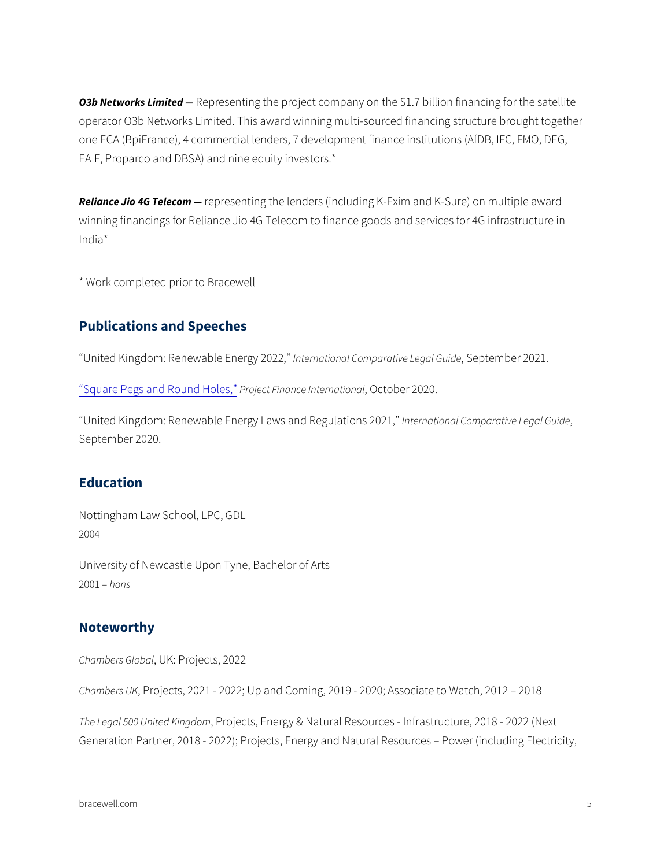O3b Networks LRmepted senting the project company on the \$1.7 billion fi operator O3b Networks Limited. This award winning multi-sourced fin one ECA (BpiFrance), 4 commercial lenders, 7 development finance i EAIF, Proparco and DBSA) and nine equity investors.\*

Reliance Jio 4G neeple esenting the lenders (including K-Exim and K-Sure winning financings for Reliance Jio 4G Telecom to finance goods and India\*

\* Work completed prior to Bracewell

#### Publications and Speeches

 $United$  Kingdom: Renewal bale Enargional 200 $20$ caratise puteegnable Fuize 021.

Square Pegs and RPoolineoott Holhes ace, Intentro and 2020.

United Kingdom: Renewable Energy Llanwes raantidonRaelgCuolantpiaomasti 2e02L1egal G September 2020.

### Education

Nottingham Law School, LPC, GDL 2004

University of Newcastle Upon Tyne, Bachelor of Arts 2001 hons

#### Noteworthy

Chambers, GUK: b: a Projects, 2022

Chambers PUK jects, 2021 - 2022; Up and Coming, 2019 - 2020; Associa

The Legal 500 United Okencgson Energy & Natural Resources - Infrastructu Generation Partner, 2018 - 2022); Projects, Energy and Natural Reso